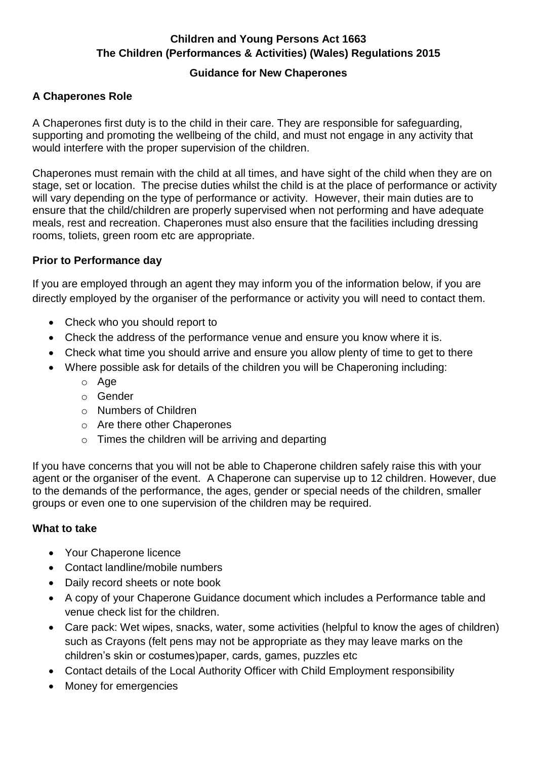### **Children and Young Persons Act 1663 The Children (Performances & Activities) (Wales) Regulations 2015**

#### **Guidance for New Chaperones**

### **A Chaperones Role**

A Chaperones first duty is to the child in their care. They are responsible for safeguarding, supporting and promoting the wellbeing of the child, and must not engage in any activity that would interfere with the proper supervision of the children.

Chaperones must remain with the child at all times, and have sight of the child when they are on stage, set or location. The precise duties whilst the child is at the place of performance or activity will vary depending on the type of performance or activity. However, their main duties are to ensure that the child/children are properly supervised when not performing and have adequate meals, rest and recreation. Chaperones must also ensure that the facilities including dressing rooms, toliets, green room etc are appropriate.

### **Prior to Performance day**

If you are employed through an agent they may inform you of the information below, if you are directly employed by the organiser of the performance or activity you will need to contact them.

- Check who you should report to
- Check the address of the performance venue and ensure you know where it is.
- Check what time you should arrive and ensure you allow plenty of time to get to there
- Where possible ask for details of the children you will be Chaperoning including:
	- o Age
	- o Gender
	- o Numbers of Children
	- o Are there other Chaperones
	- $\circ$  Times the children will be arriving and departing

If you have concerns that you will not be able to Chaperone children safely raise this with your agent or the organiser of the event. A Chaperone can supervise up to 12 children. However, due to the demands of the performance, the ages, gender or special needs of the children, smaller groups or even one to one supervision of the children may be required.

### **What to take**

- Your Chaperone licence
- Contact landline/mobile numbers
- Daily record sheets or note book
- A copy of your Chaperone Guidance document which includes a Performance table and venue check list for the children.
- Care pack: Wet wipes, snacks, water, some activities (helpful to know the ages of children) such as Crayons (felt pens may not be appropriate as they may leave marks on the children's skin or costumes)paper, cards, games, puzzles etc
- Contact details of the Local Authority Officer with Child Employment responsibility
- Money for emergencies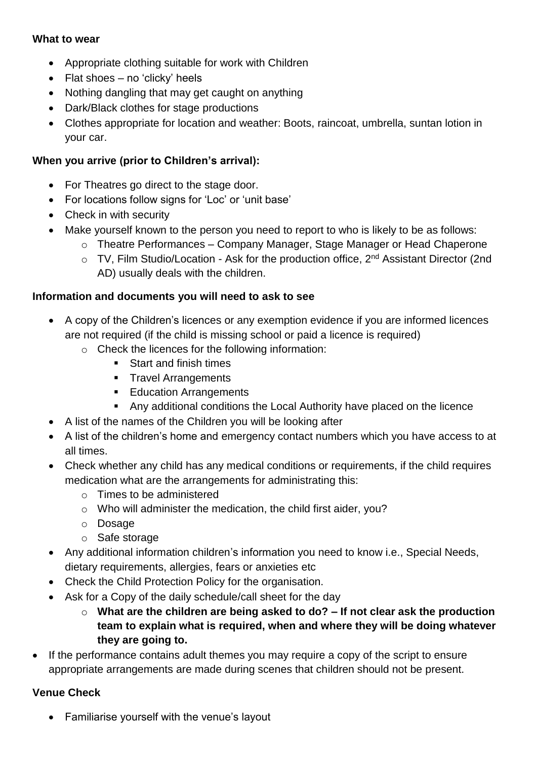#### **What to wear**

- Appropriate clothing suitable for work with Children
- Flat shoes  $-$  no 'clicky' heels
- Nothing dangling that may get caught on anything
- Dark/Black clothes for stage productions
- Clothes appropriate for location and weather: Boots, raincoat, umbrella, suntan lotion in your car.

### **When you arrive (prior to Children's arrival):**

- For Theatres go direct to the stage door.
- For locations follow signs for 'Loc' or 'unit base'
- Check in with security
- Make yourself known to the person you need to report to who is likely to be as follows:
	- o Theatre Performances Company Manager, Stage Manager or Head Chaperone
		- $\circ$  TV, Film Studio/Location Ask for the production office,  $2^{nd}$  Assistant Director (2nd AD) usually deals with the children.

#### **Information and documents you will need to ask to see**

- A copy of the Children's licences or any exemption evidence if you are informed licences are not required (if the child is missing school or paid a licence is required)
	- o Check the licences for the following information:
		- Start and finish times
		- **Travel Arrangements**
		- **Education Arrangements**
		- Any additional conditions the Local Authority have placed on the licence
- A list of the names of the Children you will be looking after
- A list of the children's home and emergency contact numbers which you have access to at all times.
- Check whether any child has any medical conditions or requirements, if the child requires medication what are the arrangements for administrating this:
	- $\circ$  Times to be administered
	- o Who will administer the medication, the child first aider, you?
	- o Dosage
	- o Safe storage
- Any additional information children's information you need to know i.e., Special Needs, dietary requirements, allergies, fears or anxieties etc
- Check the Child Protection Policy for the organisation.
- Ask for a Copy of the daily schedule/call sheet for the day
	- o **What are the children are being asked to do? – If not clear ask the production team to explain what is required, when and where they will be doing whatever they are going to.**
- If the performance contains adult themes you may require a copy of the script to ensure appropriate arrangements are made during scenes that children should not be present.

### **Venue Check**

• Familiarise yourself with the venue's layout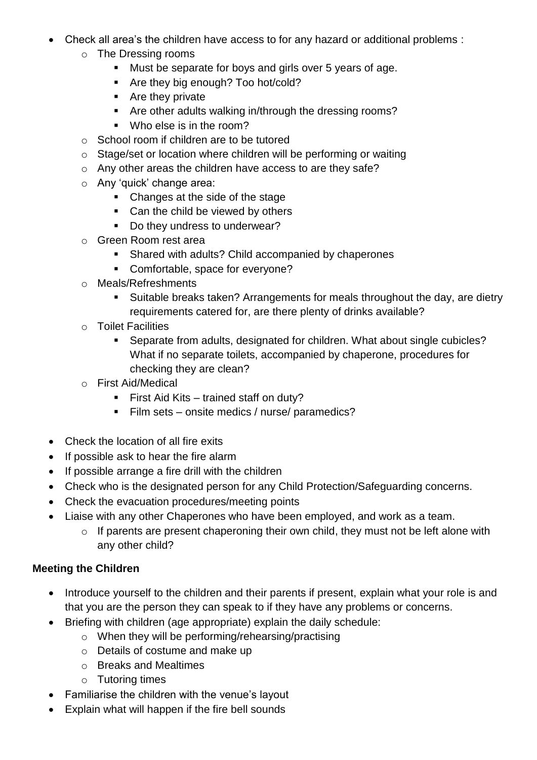- Check all area's the children have access to for any hazard or additional problems :
	- o The Dressing rooms
		- Must be separate for boys and girls over 5 years of age.
		- Are they big enough? Too hot/cold?
		- Are they private
		- Are other adults walking in/through the dressing rooms?
		- Who else is in the room?
	- o School room if children are to be tutored
	- o Stage/set or location where children will be performing or waiting
	- o Any other areas the children have access to are they safe?
	- o Any 'quick' change area:
		- Changes at the side of the stage
		- Can the child be viewed by others
		- Do they undress to underwear?
	- o Green Room rest area
		- Shared with adults? Child accompanied by chaperones
		- Comfortable, space for everyone?
	- o Meals/Refreshments
		- Suitable breaks taken? Arrangements for meals throughout the day, are dietry requirements catered for, are there plenty of drinks available?
	- o Toilet Facilities
		- Separate from adults, designated for children. What about single cubicles? What if no separate toilets, accompanied by chaperone, procedures for checking they are clean?
	- o First Aid/Medical
		- First Aid Kits trained staff on duty?
		- Film sets onsite medics / nurse/ paramedics?
- Check the location of all fire exits
- If possible ask to hear the fire alarm
- If possible arrange a fire drill with the children
- Check who is the designated person for any Child Protection/Safeguarding concerns.
- Check the evacuation procedures/meeting points
- Liaise with any other Chaperones who have been employed, and work as a team.
	- o If parents are present chaperoning their own child, they must not be left alone with any other child?

## **Meeting the Children**

- Introduce yourself to the children and their parents if present, explain what your role is and that you are the person they can speak to if they have any problems or concerns.
- Briefing with children (age appropriate) explain the daily schedule:
	- o When they will be performing/rehearsing/practising
	- o Details of costume and make up
	- o Breaks and Mealtimes
	- o Tutoring times
- Familiarise the children with the venue's layout
- Explain what will happen if the fire bell sounds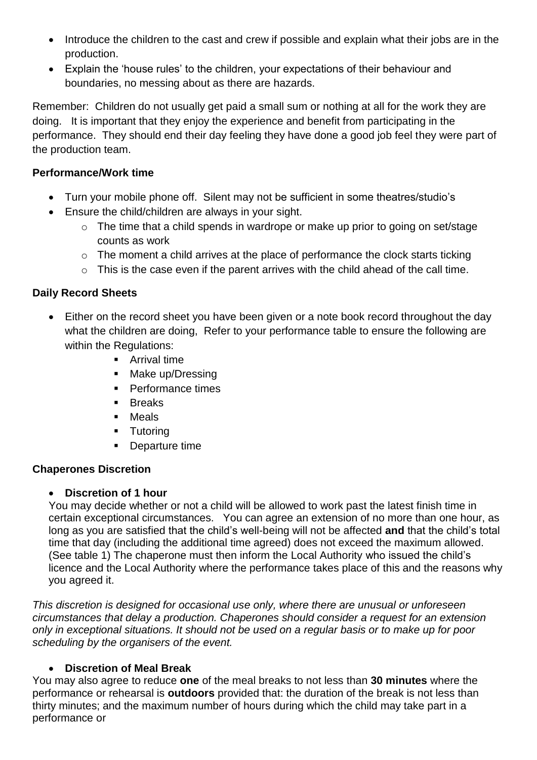- Introduce the children to the cast and crew if possible and explain what their jobs are in the production.
- Explain the 'house rules' to the children, your expectations of their behaviour and boundaries, no messing about as there are hazards.

Remember: Children do not usually get paid a small sum or nothing at all for the work they are doing. It is important that they enjoy the experience and benefit from participating in the performance. They should end their day feeling they have done a good job feel they were part of the production team.

## **Performance/Work time**

- Turn your mobile phone off. Silent may not be sufficient in some theatres/studio's
- Ensure the child/children are always in your sight.
	- o The time that a child spends in wardrope or make up prior to going on set/stage counts as work
	- o The moment a child arrives at the place of performance the clock starts ticking
	- o This is the case even if the parent arrives with the child ahead of the call time.

## **Daily Record Sheets**

- Either on the record sheet you have been given or a note book record throughout the day what the children are doing, Refer to your performance table to ensure the following are within the Regulations:
	- **Arrival time**
	- Make up/Dressing
	- Performance times
	- **Breaks**
	- **Neals**
	- **Tutoring**
	- **Departure time**

## **Chaperones Discretion**

## **Discretion of 1 hour**

You may decide whether or not a child will be allowed to work past the latest finish time in certain exceptional circumstances. You can agree an extension of no more than one hour, as long as you are satisfied that the child's well-being will not be affected **and** that the child's total time that day (including the additional time agreed) does not exceed the maximum allowed. (See table 1) The chaperone must then inform the Local Authority who issued the child's licence and the Local Authority where the performance takes place of this and the reasons why you agreed it.

*This discretion is designed for occasional use only, where there are unusual or unforeseen circumstances that delay a production. Chaperones should consider a request for an extension only in exceptional situations. It should not be used on a regular basis or to make up for poor scheduling by the organisers of the event.* 

## **Discretion of Meal Break**

You may also agree to reduce **one** of the meal breaks to not less than **30 minutes** where the performance or rehearsal is **outdoors** provided that: the duration of the break is not less than thirty minutes; and the maximum number of hours during which the child may take part in a performance or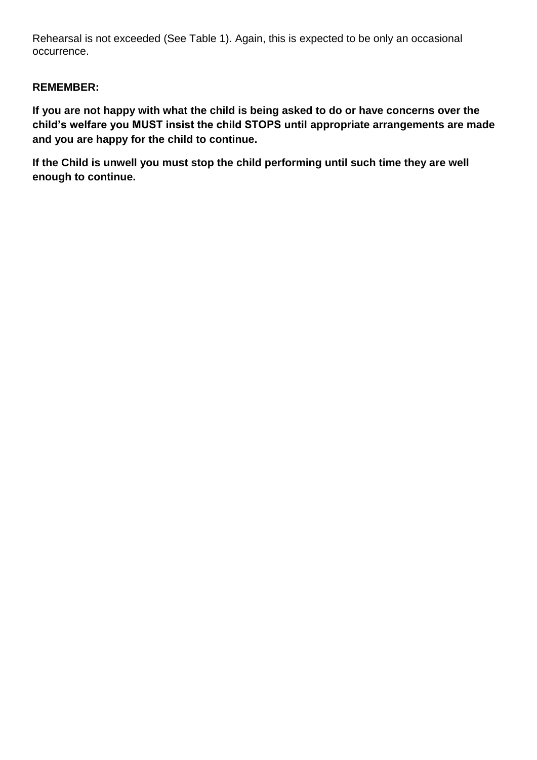Rehearsal is not exceeded (See Table 1). Again, this is expected to be only an occasional occurrence.

## **REMEMBER:**

**If you are not happy with what the child is being asked to do or have concerns over the child's welfare you MUST insist the child STOPS until appropriate arrangements are made and you are happy for the child to continue.**

**If the Child is unwell you must stop the child performing until such time they are well enough to continue.**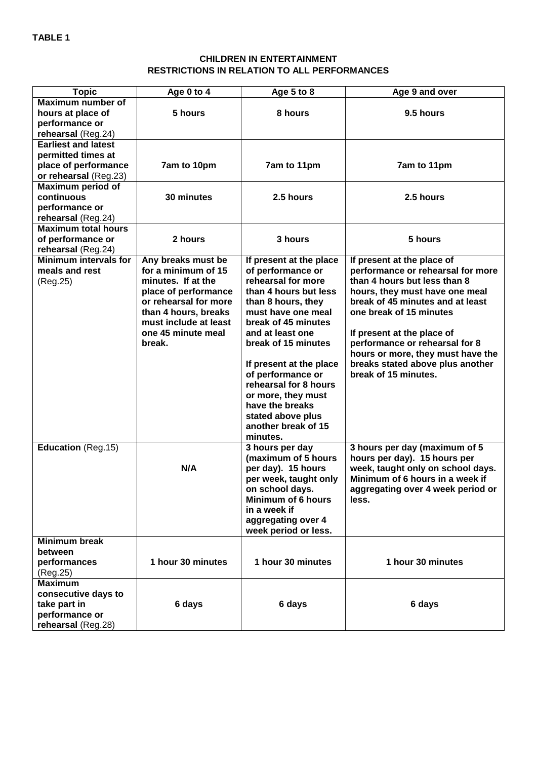#### **CHILDREN IN ENTERTAINMENT RESTRICTIONS IN RELATION TO ALL PERFORMANCES**

| <b>Topic</b>                 | Age 0 to 4            | Age 5 to 8                | Age 9 and over                    |  |  |  |  |
|------------------------------|-----------------------|---------------------------|-----------------------------------|--|--|--|--|
| <b>Maximum number of</b>     |                       |                           |                                   |  |  |  |  |
| hours at place of            | 5 hours               | 8 hours                   | 9.5 hours                         |  |  |  |  |
| performance or               |                       |                           |                                   |  |  |  |  |
| rehearsal (Reg.24)           |                       |                           |                                   |  |  |  |  |
| <b>Earliest and latest</b>   |                       |                           |                                   |  |  |  |  |
| permitted times at           |                       |                           |                                   |  |  |  |  |
| place of performance         | 7am to 10pm           | 7am to 11pm               | 7am to 11pm                       |  |  |  |  |
| or rehearsal (Reg.23)        |                       |                           |                                   |  |  |  |  |
| <b>Maximum period of</b>     |                       |                           |                                   |  |  |  |  |
| continuous                   | 30 minutes            | 2.5 hours                 | 2.5 hours                         |  |  |  |  |
| performance or               |                       |                           |                                   |  |  |  |  |
| rehearsal (Reg.24)           |                       |                           |                                   |  |  |  |  |
| <b>Maximum total hours</b>   |                       |                           |                                   |  |  |  |  |
| of performance or            | 2 hours               | 3 hours                   | 5 hours                           |  |  |  |  |
| rehearsal (Reg.24)           |                       |                           |                                   |  |  |  |  |
| <b>Minimum intervals for</b> | Any breaks must be    | If present at the place   | If present at the place of        |  |  |  |  |
| meals and rest               | for a minimum of 15   | of performance or         | performance or rehearsal for more |  |  |  |  |
| (Reg.25)                     | minutes. If at the    | rehearsal for more        | than 4 hours but less than 8      |  |  |  |  |
|                              | place of performance  | than 4 hours but less     | hours, they must have one meal    |  |  |  |  |
|                              | or rehearsal for more | than 8 hours, they        | break of 45 minutes and at least  |  |  |  |  |
|                              | than 4 hours, breaks  | must have one meal        | one break of 15 minutes           |  |  |  |  |
|                              | must include at least | break of 45 minutes       |                                   |  |  |  |  |
|                              | one 45 minute meal    | and at least one          | If present at the place of        |  |  |  |  |
|                              | break.                | break of 15 minutes       | performance or rehearsal for 8    |  |  |  |  |
|                              |                       |                           | hours or more, they must have the |  |  |  |  |
|                              |                       | If present at the place   | breaks stated above plus another  |  |  |  |  |
|                              |                       | of performance or         | break of 15 minutes.              |  |  |  |  |
|                              |                       | rehearsal for 8 hours     |                                   |  |  |  |  |
|                              |                       | or more, they must        |                                   |  |  |  |  |
|                              |                       | have the breaks           |                                   |  |  |  |  |
|                              |                       | stated above plus         |                                   |  |  |  |  |
|                              |                       | another break of 15       |                                   |  |  |  |  |
|                              |                       | minutes.                  |                                   |  |  |  |  |
| <b>Education (Reg.15)</b>    |                       | 3 hours per day           | 3 hours per day (maximum of 5     |  |  |  |  |
|                              |                       |                           |                                   |  |  |  |  |
|                              | N/A                   | (maximum of 5 hours       | hours per day). 15 hours per      |  |  |  |  |
|                              |                       | per day). 15 hours        | week, taught only on school days. |  |  |  |  |
|                              |                       | per week, taught only     | Minimum of 6 hours in a week if   |  |  |  |  |
|                              |                       | on school days.           | aggregating over 4 week period or |  |  |  |  |
|                              |                       | <b>Minimum of 6 hours</b> | less.                             |  |  |  |  |
|                              |                       | in a week if              |                                   |  |  |  |  |
|                              |                       | aggregating over 4        |                                   |  |  |  |  |
|                              |                       | week period or less.      |                                   |  |  |  |  |
| <b>Minimum break</b>         |                       |                           |                                   |  |  |  |  |
| between                      |                       |                           |                                   |  |  |  |  |
| performances                 | 1 hour 30 minutes     | 1 hour 30 minutes         | 1 hour 30 minutes                 |  |  |  |  |
| (Reg.25)                     |                       |                           |                                   |  |  |  |  |
| <b>Maximum</b>               |                       |                           |                                   |  |  |  |  |
| consecutive days to          |                       |                           |                                   |  |  |  |  |
| take part in                 | 6 days                | 6 days                    | 6 days                            |  |  |  |  |
| performance or               |                       |                           |                                   |  |  |  |  |
| rehearsal (Reg.28)           |                       |                           |                                   |  |  |  |  |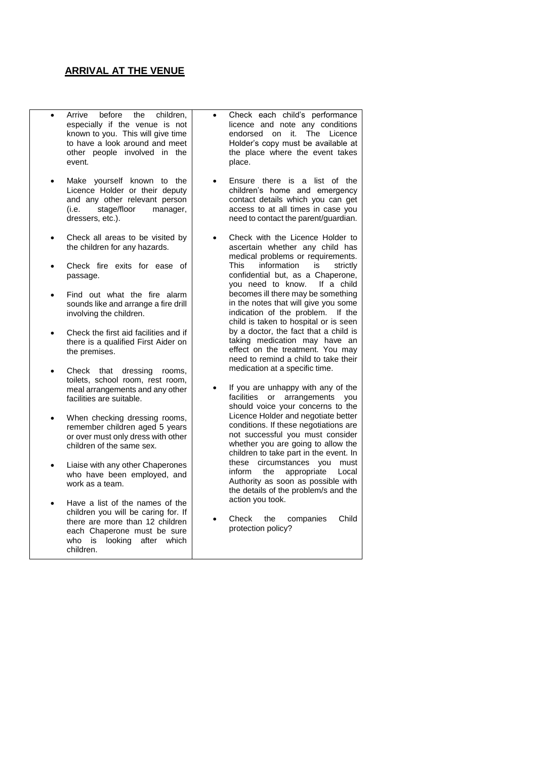#### **ARRIVAL AT THE VENUE**

- Arrive before the children, especially if the venue is not known to you. This will give time to have a look around and meet other people involved in the event.
- Make yourself known to the Licence Holder or their deputy and any other relevant person<br>(i.e. stage/floor manager,  $(i.e.$  stage/floor dressers, etc.).
- Check all areas to be visited by the children for any hazards.
- Check fire exits for ease of passage.
- Find out what the fire alarm sounds like and arrange a fire drill involving the children.
- Check the first aid facilities and if there is a qualified First Aider on the premises.
- Check that dressing rooms, toilets, school room, rest room, meal arrangements and any other facilities are suitable.
- When checking dressing rooms, remember children aged 5 years or over must only dress with other children of the same sex.
- Liaise with any other Chaperones who have been employed, and work as a team.
- Have a list of the names of the children you will be caring for. If there are more than 12 children each Chaperone must be sure who is looking after which children.
- Check each child's performance licence and note any conditions endorsed on it. The Licence Holder's copy must be available at the place where the event takes place.
- Ensure there is a list of the children's home and emergency contact details which you can get access to at all times in case you need to contact the parent/guardian.
- Check with the Licence Holder to ascertain whether any child has medical problems or requirements. This information is strictly confidential but, as a Chaperone, you need to know. If a child becomes ill there may be something in the notes that will give you some indication of the problem. If the child is taken to hospital or is seen by a doctor, the fact that a child is taking medication may have an effect on the treatment. You may need to remind a child to take their medication at a specific time.
- If you are unhappy with any of the facilities or arrangements you should voice your concerns to the Licence Holder and negotiate better conditions. If these negotiations are not successful you must consider whether you are going to allow the children to take part in the event. In these circumstances you must inform the appropriate Local Authority as soon as possible with the details of the problem/s and the action you took.
- Check the companies Child protection policy?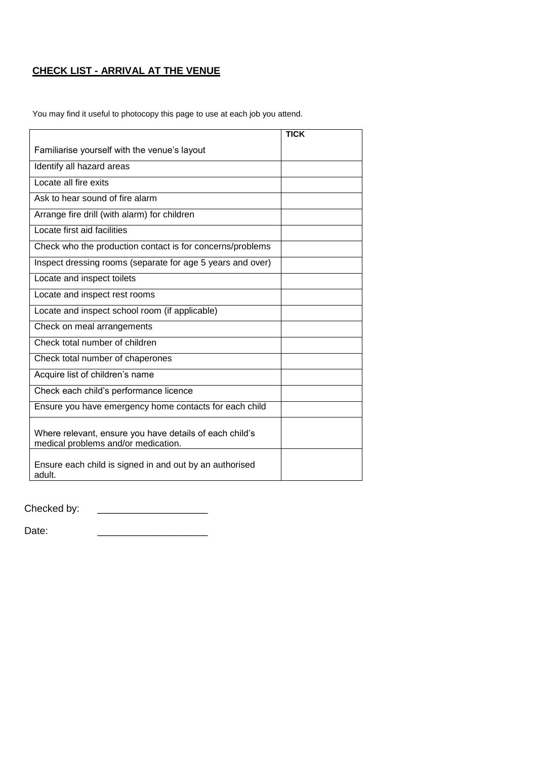# **CHECK LIST - ARRIVAL AT THE VENUE**

You may find it useful to photocopy this page to use at each job you attend.

|                                                                                                | <b>TICK</b> |
|------------------------------------------------------------------------------------------------|-------------|
| Familiarise yourself with the venue's layout                                                   |             |
| Identify all hazard areas                                                                      |             |
| Locate all fire exits                                                                          |             |
| Ask to hear sound of fire alarm                                                                |             |
| Arrange fire drill (with alarm) for children                                                   |             |
| Locate first aid facilities                                                                    |             |
| Check who the production contact is for concerns/problems                                      |             |
| Inspect dressing rooms (separate for age 5 years and over)                                     |             |
| Locate and inspect toilets                                                                     |             |
| Locate and inspect rest rooms                                                                  |             |
| Locate and inspect school room (if applicable)                                                 |             |
| Check on meal arrangements                                                                     |             |
| Check total number of children                                                                 |             |
| Check total number of chaperones                                                               |             |
| Acquire list of children's name                                                                |             |
| Check each child's performance licence                                                         |             |
| Ensure you have emergency home contacts for each child                                         |             |
| Where relevant, ensure you have details of each child's<br>medical problems and/or medication. |             |
| Ensure each child is signed in and out by an authorised<br>adult.                              |             |

Checked by: \_\_\_\_\_\_\_\_\_\_\_\_\_\_\_\_\_\_\_\_

Date: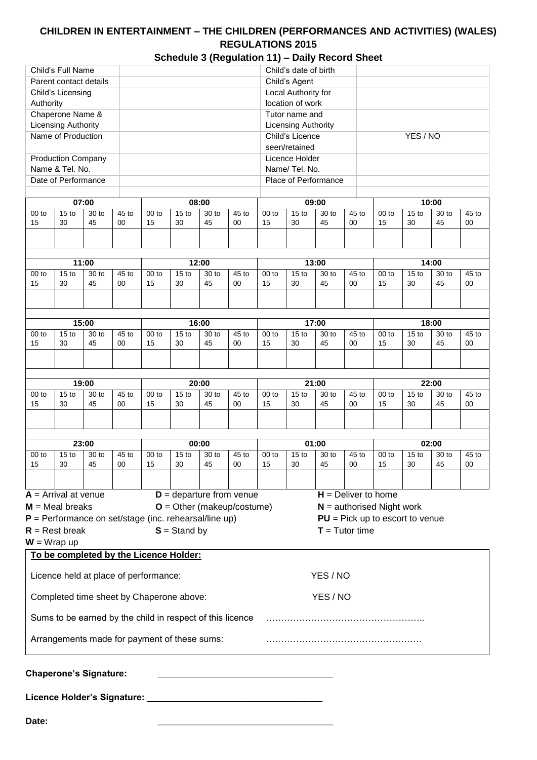# **CHILDREN IN ENTERTAINMENT – THE CHILDREN (PERFORMANCES AND ACTIVITIES) (WALES) REGULATIONS 2015**

|  | Schedule 3 (Regulation 11) - Daily Record Sheet |
|--|-------------------------------------------------|
|  |                                                 |

| Parent contact details<br>Child's Agent<br>Local Authority for<br>Child's Licensing<br>location of work<br>Authority<br>Chaperone Name &<br>Tutor name and<br><b>Licensing Authority</b><br><b>Licensing Authority</b><br>Name of Production<br>Child's Licence<br>YES / NO<br>seen/retained<br><b>Production Company</b><br>Licence Holder<br>Name & Tel. No.<br>Name/ Tel. No.<br>Date of Performance<br>Place of Performance<br>07:00<br>08:00<br>09:00<br>10:00<br>15 <sub>to</sub><br>30 to<br>45 to<br>$00$ to<br>15 <sub>to</sub><br>30 to<br>45 to<br>$00$ to<br>15 <sub>to</sub><br>30 to<br>45 to<br>$00$ to<br>15 <sub>to</sub><br>30 to<br>$00$ to<br>15<br>30<br>45<br>00<br>15<br>30<br>45<br>00<br>15<br>30<br>45<br>00<br>30<br>45<br>15<br>11:00<br>12:00<br>13:00<br>14:00<br>30 to<br>00 to<br>15 <sub>to</sub><br>30 to<br>45 to<br>$00$ to<br>15 <sub>to</sub><br>30 to<br>45 to<br>$00$ to<br>15 <sub>to</sub><br>$00$ to<br>15 <sub>to</sub><br>45 to<br>30 to<br>15<br>45<br>45<br>45<br>30<br>45<br>30<br>00<br>15<br>30<br>00<br>15<br>30<br>00<br>15<br>15:00<br>17:00<br>16:00<br>18:00<br>15 <sub>to</sub><br>30 to<br>45 to<br>$00$ to<br>15 <sub>to</sub><br>30 to<br>45 to<br>$00$ to<br>15 <sub>to</sub><br>30 to<br>45 to<br>$00$ to<br>15 <sub>to</sub><br>30 to<br>00 <sub>to</sub><br>15<br>30<br>45<br>00<br>15<br>30<br>45<br>15<br>30<br>45<br>00<br>15<br>30<br>45<br>00<br>19:00<br>20:00<br>21:00<br>22:00<br>15 <sub>to</sub><br>30 to<br>45 to<br>15 <sub>to</sub><br>45 to<br>15 <sub>to</sub><br>30 to<br>45 to<br>15 <sub>to</sub><br>$00$ to<br>$00$ to<br>30 to<br>$00$ to<br>$00$ to<br>30 to<br>15<br>30<br>45<br>00<br>15<br>30<br>45<br>00<br>30<br>45<br>30<br>45<br>15<br>00<br>15<br>23:00<br>00:00<br>01:00<br>02:00<br>15 <sub>to</sub><br>30 to<br>45 to<br>$00$ to<br>15 <sub>to</sub><br>30 to<br>45 to<br>$00$ to<br>15 <sub>to</sub><br>30 to<br>45 to<br>$00$ to<br>15 <sub>to</sub><br>30 to<br>00 to<br>15<br>45<br>15<br>30<br>45<br>15<br>30<br>45<br>00<br>15<br>30<br>45<br>30<br>00<br>00<br>$D =$ departure from venue<br>$H =$ Deliver to home<br>$O =$ Other (makeup/costume)<br>$N =$ authorised Night work<br>$PU = Pick up to escort to venue$<br>$T = Tutor time$<br>$S =$ Stand by<br>To be completed by the Licence Holder:<br>YES / NO<br>Licence held at place of performance:<br>Completed time sheet by Chaperone above:<br>YES / NO<br>Sums to be earned by the child in respect of this licence<br>Arrangements made for payment of these sums: |                                                         | Child's Full Name |  |  |  |  |  |  |  | Child's date of birth |  |  |  |  |  |             |
|----------------------------------------------------------------------------------------------------------------------------------------------------------------------------------------------------------------------------------------------------------------------------------------------------------------------------------------------------------------------------------------------------------------------------------------------------------------------------------------------------------------------------------------------------------------------------------------------------------------------------------------------------------------------------------------------------------------------------------------------------------------------------------------------------------------------------------------------------------------------------------------------------------------------------------------------------------------------------------------------------------------------------------------------------------------------------------------------------------------------------------------------------------------------------------------------------------------------------------------------------------------------------------------------------------------------------------------------------------------------------------------------------------------------------------------------------------------------------------------------------------------------------------------------------------------------------------------------------------------------------------------------------------------------------------------------------------------------------------------------------------------------------------------------------------------------------------------------------------------------------------------------------------------------------------------------------------------------------------------------------------------------------------------------------------------------------------------------------------------------------------------------------------------------------------------------------------------------------------------------------------------------------------------------------------------------------------------------------------------------------------------------------------------------------------------------------------------------------------------------------------------------------------------|---------------------------------------------------------|-------------------|--|--|--|--|--|--|--|-----------------------|--|--|--|--|--|-------------|
|                                                                                                                                                                                                                                                                                                                                                                                                                                                                                                                                                                                                                                                                                                                                                                                                                                                                                                                                                                                                                                                                                                                                                                                                                                                                                                                                                                                                                                                                                                                                                                                                                                                                                                                                                                                                                                                                                                                                                                                                                                                                                                                                                                                                                                                                                                                                                                                                                                                                                                                                        |                                                         |                   |  |  |  |  |  |  |  |                       |  |  |  |  |  |             |
|                                                                                                                                                                                                                                                                                                                                                                                                                                                                                                                                                                                                                                                                                                                                                                                                                                                                                                                                                                                                                                                                                                                                                                                                                                                                                                                                                                                                                                                                                                                                                                                                                                                                                                                                                                                                                                                                                                                                                                                                                                                                                                                                                                                                                                                                                                                                                                                                                                                                                                                                        |                                                         |                   |  |  |  |  |  |  |  |                       |  |  |  |  |  |             |
|                                                                                                                                                                                                                                                                                                                                                                                                                                                                                                                                                                                                                                                                                                                                                                                                                                                                                                                                                                                                                                                                                                                                                                                                                                                                                                                                                                                                                                                                                                                                                                                                                                                                                                                                                                                                                                                                                                                                                                                                                                                                                                                                                                                                                                                                                                                                                                                                                                                                                                                                        |                                                         |                   |  |  |  |  |  |  |  |                       |  |  |  |  |  |             |
|                                                                                                                                                                                                                                                                                                                                                                                                                                                                                                                                                                                                                                                                                                                                                                                                                                                                                                                                                                                                                                                                                                                                                                                                                                                                                                                                                                                                                                                                                                                                                                                                                                                                                                                                                                                                                                                                                                                                                                                                                                                                                                                                                                                                                                                                                                                                                                                                                                                                                                                                        |                                                         |                   |  |  |  |  |  |  |  |                       |  |  |  |  |  |             |
|                                                                                                                                                                                                                                                                                                                                                                                                                                                                                                                                                                                                                                                                                                                                                                                                                                                                                                                                                                                                                                                                                                                                                                                                                                                                                                                                                                                                                                                                                                                                                                                                                                                                                                                                                                                                                                                                                                                                                                                                                                                                                                                                                                                                                                                                                                                                                                                                                                                                                                                                        |                                                         |                   |  |  |  |  |  |  |  |                       |  |  |  |  |  |             |
|                                                                                                                                                                                                                                                                                                                                                                                                                                                                                                                                                                                                                                                                                                                                                                                                                                                                                                                                                                                                                                                                                                                                                                                                                                                                                                                                                                                                                                                                                                                                                                                                                                                                                                                                                                                                                                                                                                                                                                                                                                                                                                                                                                                                                                                                                                                                                                                                                                                                                                                                        |                                                         |                   |  |  |  |  |  |  |  |                       |  |  |  |  |  |             |
|                                                                                                                                                                                                                                                                                                                                                                                                                                                                                                                                                                                                                                                                                                                                                                                                                                                                                                                                                                                                                                                                                                                                                                                                                                                                                                                                                                                                                                                                                                                                                                                                                                                                                                                                                                                                                                                                                                                                                                                                                                                                                                                                                                                                                                                                                                                                                                                                                                                                                                                                        |                                                         |                   |  |  |  |  |  |  |  |                       |  |  |  |  |  |             |
|                                                                                                                                                                                                                                                                                                                                                                                                                                                                                                                                                                                                                                                                                                                                                                                                                                                                                                                                                                                                                                                                                                                                                                                                                                                                                                                                                                                                                                                                                                                                                                                                                                                                                                                                                                                                                                                                                                                                                                                                                                                                                                                                                                                                                                                                                                                                                                                                                                                                                                                                        |                                                         |                   |  |  |  |  |  |  |  |                       |  |  |  |  |  |             |
|                                                                                                                                                                                                                                                                                                                                                                                                                                                                                                                                                                                                                                                                                                                                                                                                                                                                                                                                                                                                                                                                                                                                                                                                                                                                                                                                                                                                                                                                                                                                                                                                                                                                                                                                                                                                                                                                                                                                                                                                                                                                                                                                                                                                                                                                                                                                                                                                                                                                                                                                        |                                                         |                   |  |  |  |  |  |  |  |                       |  |  |  |  |  |             |
|                                                                                                                                                                                                                                                                                                                                                                                                                                                                                                                                                                                                                                                                                                                                                                                                                                                                                                                                                                                                                                                                                                                                                                                                                                                                                                                                                                                                                                                                                                                                                                                                                                                                                                                                                                                                                                                                                                                                                                                                                                                                                                                                                                                                                                                                                                                                                                                                                                                                                                                                        |                                                         |                   |  |  |  |  |  |  |  |                       |  |  |  |  |  |             |
| $A =$ Arrival at venue<br>$M =$ Meal breaks<br>$W = W$ rap up                                                                                                                                                                                                                                                                                                                                                                                                                                                                                                                                                                                                                                                                                                                                                                                                                                                                                                                                                                                                                                                                                                                                                                                                                                                                                                                                                                                                                                                                                                                                                                                                                                                                                                                                                                                                                                                                                                                                                                                                                                                                                                                                                                                                                                                                                                                                                                                                                                                                          |                                                         |                   |  |  |  |  |  |  |  |                       |  |  |  |  |  | 45 to<br>00 |
|                                                                                                                                                                                                                                                                                                                                                                                                                                                                                                                                                                                                                                                                                                                                                                                                                                                                                                                                                                                                                                                                                                                                                                                                                                                                                                                                                                                                                                                                                                                                                                                                                                                                                                                                                                                                                                                                                                                                                                                                                                                                                                                                                                                                                                                                                                                                                                                                                                                                                                                                        |                                                         |                   |  |  |  |  |  |  |  |                       |  |  |  |  |  |             |
|                                                                                                                                                                                                                                                                                                                                                                                                                                                                                                                                                                                                                                                                                                                                                                                                                                                                                                                                                                                                                                                                                                                                                                                                                                                                                                                                                                                                                                                                                                                                                                                                                                                                                                                                                                                                                                                                                                                                                                                                                                                                                                                                                                                                                                                                                                                                                                                                                                                                                                                                        |                                                         |                   |  |  |  |  |  |  |  |                       |  |  |  |  |  |             |
|                                                                                                                                                                                                                                                                                                                                                                                                                                                                                                                                                                                                                                                                                                                                                                                                                                                                                                                                                                                                                                                                                                                                                                                                                                                                                                                                                                                                                                                                                                                                                                                                                                                                                                                                                                                                                                                                                                                                                                                                                                                                                                                                                                                                                                                                                                                                                                                                                                                                                                                                        |                                                         |                   |  |  |  |  |  |  |  |                       |  |  |  |  |  |             |
|                                                                                                                                                                                                                                                                                                                                                                                                                                                                                                                                                                                                                                                                                                                                                                                                                                                                                                                                                                                                                                                                                                                                                                                                                                                                                                                                                                                                                                                                                                                                                                                                                                                                                                                                                                                                                                                                                                                                                                                                                                                                                                                                                                                                                                                                                                                                                                                                                                                                                                                                        |                                                         |                   |  |  |  |  |  |  |  |                       |  |  |  |  |  | 45 to       |
|                                                                                                                                                                                                                                                                                                                                                                                                                                                                                                                                                                                                                                                                                                                                                                                                                                                                                                                                                                                                                                                                                                                                                                                                                                                                                                                                                                                                                                                                                                                                                                                                                                                                                                                                                                                                                                                                                                                                                                                                                                                                                                                                                                                                                                                                                                                                                                                                                                                                                                                                        |                                                         |                   |  |  |  |  |  |  |  |                       |  |  |  |  |  | 00          |
|                                                                                                                                                                                                                                                                                                                                                                                                                                                                                                                                                                                                                                                                                                                                                                                                                                                                                                                                                                                                                                                                                                                                                                                                                                                                                                                                                                                                                                                                                                                                                                                                                                                                                                                                                                                                                                                                                                                                                                                                                                                                                                                                                                                                                                                                                                                                                                                                                                                                                                                                        |                                                         |                   |  |  |  |  |  |  |  |                       |  |  |  |  |  |             |
|                                                                                                                                                                                                                                                                                                                                                                                                                                                                                                                                                                                                                                                                                                                                                                                                                                                                                                                                                                                                                                                                                                                                                                                                                                                                                                                                                                                                                                                                                                                                                                                                                                                                                                                                                                                                                                                                                                                                                                                                                                                                                                                                                                                                                                                                                                                                                                                                                                                                                                                                        |                                                         |                   |  |  |  |  |  |  |  |                       |  |  |  |  |  |             |
|                                                                                                                                                                                                                                                                                                                                                                                                                                                                                                                                                                                                                                                                                                                                                                                                                                                                                                                                                                                                                                                                                                                                                                                                                                                                                                                                                                                                                                                                                                                                                                                                                                                                                                                                                                                                                                                                                                                                                                                                                                                                                                                                                                                                                                                                                                                                                                                                                                                                                                                                        |                                                         |                   |  |  |  |  |  |  |  |                       |  |  |  |  |  | 45 to       |
|                                                                                                                                                                                                                                                                                                                                                                                                                                                                                                                                                                                                                                                                                                                                                                                                                                                                                                                                                                                                                                                                                                                                                                                                                                                                                                                                                                                                                                                                                                                                                                                                                                                                                                                                                                                                                                                                                                                                                                                                                                                                                                                                                                                                                                                                                                                                                                                                                                                                                                                                        |                                                         |                   |  |  |  |  |  |  |  |                       |  |  |  |  |  | 00          |
|                                                                                                                                                                                                                                                                                                                                                                                                                                                                                                                                                                                                                                                                                                                                                                                                                                                                                                                                                                                                                                                                                                                                                                                                                                                                                                                                                                                                                                                                                                                                                                                                                                                                                                                                                                                                                                                                                                                                                                                                                                                                                                                                                                                                                                                                                                                                                                                                                                                                                                                                        |                                                         |                   |  |  |  |  |  |  |  |                       |  |  |  |  |  |             |
|                                                                                                                                                                                                                                                                                                                                                                                                                                                                                                                                                                                                                                                                                                                                                                                                                                                                                                                                                                                                                                                                                                                                                                                                                                                                                                                                                                                                                                                                                                                                                                                                                                                                                                                                                                                                                                                                                                                                                                                                                                                                                                                                                                                                                                                                                                                                                                                                                                                                                                                                        |                                                         |                   |  |  |  |  |  |  |  |                       |  |  |  |  |  |             |
|                                                                                                                                                                                                                                                                                                                                                                                                                                                                                                                                                                                                                                                                                                                                                                                                                                                                                                                                                                                                                                                                                                                                                                                                                                                                                                                                                                                                                                                                                                                                                                                                                                                                                                                                                                                                                                                                                                                                                                                                                                                                                                                                                                                                                                                                                                                                                                                                                                                                                                                                        |                                                         |                   |  |  |  |  |  |  |  |                       |  |  |  |  |  |             |
|                                                                                                                                                                                                                                                                                                                                                                                                                                                                                                                                                                                                                                                                                                                                                                                                                                                                                                                                                                                                                                                                                                                                                                                                                                                                                                                                                                                                                                                                                                                                                                                                                                                                                                                                                                                                                                                                                                                                                                                                                                                                                                                                                                                                                                                                                                                                                                                                                                                                                                                                        |                                                         |                   |  |  |  |  |  |  |  |                       |  |  |  |  |  | 45 to       |
|                                                                                                                                                                                                                                                                                                                                                                                                                                                                                                                                                                                                                                                                                                                                                                                                                                                                                                                                                                                                                                                                                                                                                                                                                                                                                                                                                                                                                                                                                                                                                                                                                                                                                                                                                                                                                                                                                                                                                                                                                                                                                                                                                                                                                                                                                                                                                                                                                                                                                                                                        |                                                         |                   |  |  |  |  |  |  |  |                       |  |  |  |  |  | 00          |
|                                                                                                                                                                                                                                                                                                                                                                                                                                                                                                                                                                                                                                                                                                                                                                                                                                                                                                                                                                                                                                                                                                                                                                                                                                                                                                                                                                                                                                                                                                                                                                                                                                                                                                                                                                                                                                                                                                                                                                                                                                                                                                                                                                                                                                                                                                                                                                                                                                                                                                                                        |                                                         |                   |  |  |  |  |  |  |  |                       |  |  |  |  |  |             |
|                                                                                                                                                                                                                                                                                                                                                                                                                                                                                                                                                                                                                                                                                                                                                                                                                                                                                                                                                                                                                                                                                                                                                                                                                                                                                                                                                                                                                                                                                                                                                                                                                                                                                                                                                                                                                                                                                                                                                                                                                                                                                                                                                                                                                                                                                                                                                                                                                                                                                                                                        |                                                         |                   |  |  |  |  |  |  |  |                       |  |  |  |  |  |             |
|                                                                                                                                                                                                                                                                                                                                                                                                                                                                                                                                                                                                                                                                                                                                                                                                                                                                                                                                                                                                                                                                                                                                                                                                                                                                                                                                                                                                                                                                                                                                                                                                                                                                                                                                                                                                                                                                                                                                                                                                                                                                                                                                                                                                                                                                                                                                                                                                                                                                                                                                        |                                                         |                   |  |  |  |  |  |  |  |                       |  |  |  |  |  | 45 to       |
|                                                                                                                                                                                                                                                                                                                                                                                                                                                                                                                                                                                                                                                                                                                                                                                                                                                                                                                                                                                                                                                                                                                                                                                                                                                                                                                                                                                                                                                                                                                                                                                                                                                                                                                                                                                                                                                                                                                                                                                                                                                                                                                                                                                                                                                                                                                                                                                                                                                                                                                                        |                                                         |                   |  |  |  |  |  |  |  |                       |  |  |  |  |  | 00          |
|                                                                                                                                                                                                                                                                                                                                                                                                                                                                                                                                                                                                                                                                                                                                                                                                                                                                                                                                                                                                                                                                                                                                                                                                                                                                                                                                                                                                                                                                                                                                                                                                                                                                                                                                                                                                                                                                                                                                                                                                                                                                                                                                                                                                                                                                                                                                                                                                                                                                                                                                        |                                                         |                   |  |  |  |  |  |  |  |                       |  |  |  |  |  |             |
|                                                                                                                                                                                                                                                                                                                                                                                                                                                                                                                                                                                                                                                                                                                                                                                                                                                                                                                                                                                                                                                                                                                                                                                                                                                                                                                                                                                                                                                                                                                                                                                                                                                                                                                                                                                                                                                                                                                                                                                                                                                                                                                                                                                                                                                                                                                                                                                                                                                                                                                                        |                                                         |                   |  |  |  |  |  |  |  |                       |  |  |  |  |  |             |
|                                                                                                                                                                                                                                                                                                                                                                                                                                                                                                                                                                                                                                                                                                                                                                                                                                                                                                                                                                                                                                                                                                                                                                                                                                                                                                                                                                                                                                                                                                                                                                                                                                                                                                                                                                                                                                                                                                                                                                                                                                                                                                                                                                                                                                                                                                                                                                                                                                                                                                                                        |                                                         |                   |  |  |  |  |  |  |  |                       |  |  |  |  |  |             |
|                                                                                                                                                                                                                                                                                                                                                                                                                                                                                                                                                                                                                                                                                                                                                                                                                                                                                                                                                                                                                                                                                                                                                                                                                                                                                                                                                                                                                                                                                                                                                                                                                                                                                                                                                                                                                                                                                                                                                                                                                                                                                                                                                                                                                                                                                                                                                                                                                                                                                                                                        | $P =$ Performance on set/stage (inc. rehearsal/line up) |                   |  |  |  |  |  |  |  |                       |  |  |  |  |  |             |
|                                                                                                                                                                                                                                                                                                                                                                                                                                                                                                                                                                                                                                                                                                                                                                                                                                                                                                                                                                                                                                                                                                                                                                                                                                                                                                                                                                                                                                                                                                                                                                                                                                                                                                                                                                                                                                                                                                                                                                                                                                                                                                                                                                                                                                                                                                                                                                                                                                                                                                                                        | $R =$ Rest break                                        |                   |  |  |  |  |  |  |  |                       |  |  |  |  |  |             |
|                                                                                                                                                                                                                                                                                                                                                                                                                                                                                                                                                                                                                                                                                                                                                                                                                                                                                                                                                                                                                                                                                                                                                                                                                                                                                                                                                                                                                                                                                                                                                                                                                                                                                                                                                                                                                                                                                                                                                                                                                                                                                                                                                                                                                                                                                                                                                                                                                                                                                                                                        |                                                         |                   |  |  |  |  |  |  |  |                       |  |  |  |  |  |             |
|                                                                                                                                                                                                                                                                                                                                                                                                                                                                                                                                                                                                                                                                                                                                                                                                                                                                                                                                                                                                                                                                                                                                                                                                                                                                                                                                                                                                                                                                                                                                                                                                                                                                                                                                                                                                                                                                                                                                                                                                                                                                                                                                                                                                                                                                                                                                                                                                                                                                                                                                        |                                                         |                   |  |  |  |  |  |  |  |                       |  |  |  |  |  |             |
|                                                                                                                                                                                                                                                                                                                                                                                                                                                                                                                                                                                                                                                                                                                                                                                                                                                                                                                                                                                                                                                                                                                                                                                                                                                                                                                                                                                                                                                                                                                                                                                                                                                                                                                                                                                                                                                                                                                                                                                                                                                                                                                                                                                                                                                                                                                                                                                                                                                                                                                                        |                                                         |                   |  |  |  |  |  |  |  |                       |  |  |  |  |  |             |
|                                                                                                                                                                                                                                                                                                                                                                                                                                                                                                                                                                                                                                                                                                                                                                                                                                                                                                                                                                                                                                                                                                                                                                                                                                                                                                                                                                                                                                                                                                                                                                                                                                                                                                                                                                                                                                                                                                                                                                                                                                                                                                                                                                                                                                                                                                                                                                                                                                                                                                                                        |                                                         |                   |  |  |  |  |  |  |  |                       |  |  |  |  |  |             |
|                                                                                                                                                                                                                                                                                                                                                                                                                                                                                                                                                                                                                                                                                                                                                                                                                                                                                                                                                                                                                                                                                                                                                                                                                                                                                                                                                                                                                                                                                                                                                                                                                                                                                                                                                                                                                                                                                                                                                                                                                                                                                                                                                                                                                                                                                                                                                                                                                                                                                                                                        |                                                         |                   |  |  |  |  |  |  |  |                       |  |  |  |  |  |             |
|                                                                                                                                                                                                                                                                                                                                                                                                                                                                                                                                                                                                                                                                                                                                                                                                                                                                                                                                                                                                                                                                                                                                                                                                                                                                                                                                                                                                                                                                                                                                                                                                                                                                                                                                                                                                                                                                                                                                                                                                                                                                                                                                                                                                                                                                                                                                                                                                                                                                                                                                        |                                                         |                   |  |  |  |  |  |  |  |                       |  |  |  |  |  |             |
| <b>Chaperone's Signature:</b>                                                                                                                                                                                                                                                                                                                                                                                                                                                                                                                                                                                                                                                                                                                                                                                                                                                                                                                                                                                                                                                                                                                                                                                                                                                                                                                                                                                                                                                                                                                                                                                                                                                                                                                                                                                                                                                                                                                                                                                                                                                                                                                                                                                                                                                                                                                                                                                                                                                                                                          |                                                         |                   |  |  |  |  |  |  |  |                       |  |  |  |  |  |             |

**Date: \_\_\_\_\_\_\_\_\_\_\_\_\_\_\_\_\_\_\_\_\_\_\_\_\_\_\_\_\_\_\_\_\_\_\_**